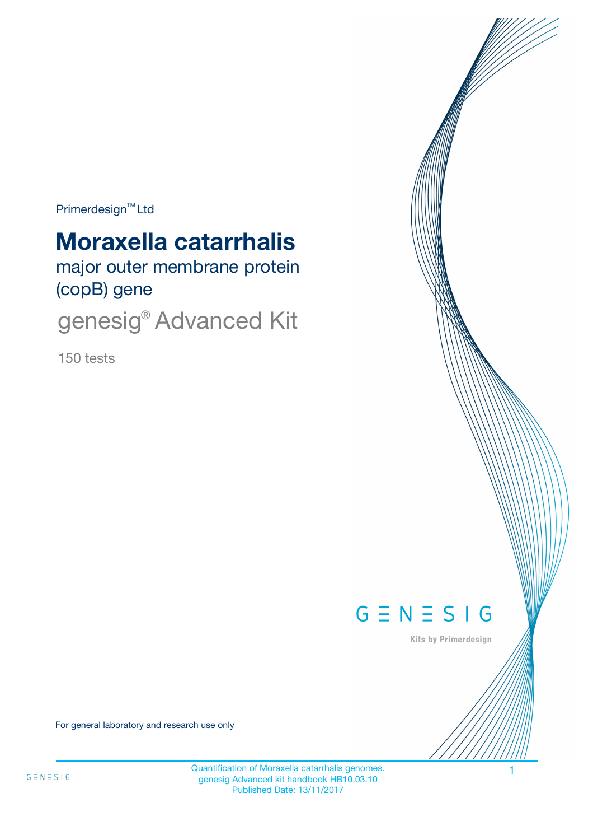$Primerdesign^{\text{TM}}$ Ltd

# **Moraxella catarrhalis**

major outer membrane protein (copB) gene

genesig® Advanced Kit

150 tests



Kits by Primerdesign

For general laboratory and research use only

Quantification of Moraxella catarrhalis genomes. 1 genesig Advanced kit handbook HB10.03.10 Published Date: 13/11/2017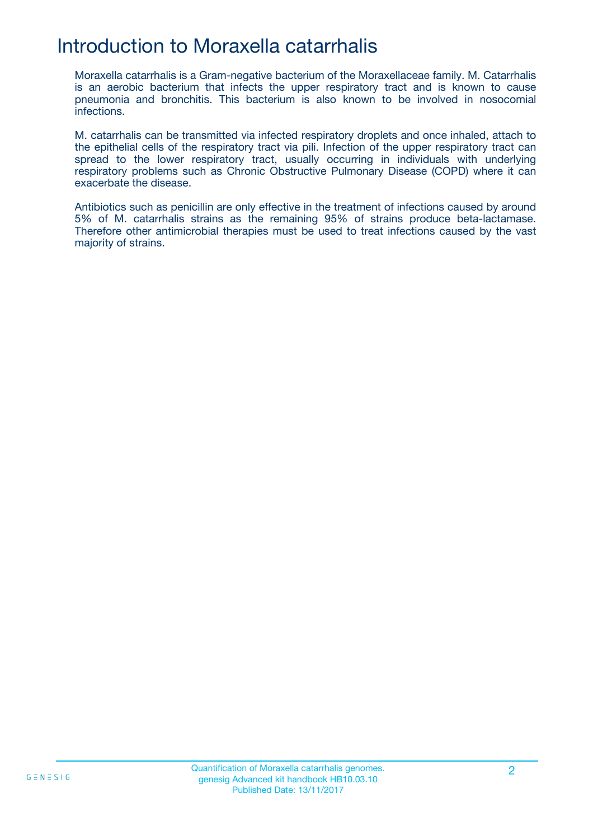## Introduction to Moraxella catarrhalis

Moraxella catarrhalis is a Gram-negative bacterium of the Moraxellaceae family. M. Catarrhalis is an aerobic bacterium that infects the upper respiratory tract and is known to cause pneumonia and bronchitis. This bacterium is also known to be involved in nosocomial infections.

M. catarrhalis can be transmitted via infected respiratory droplets and once inhaled, attach to the epithelial cells of the respiratory tract via pili. Infection of the upper respiratory tract can spread to the lower respiratory tract, usually occurring in individuals with underlying respiratory problems such as Chronic Obstructive Pulmonary Disease (COPD) where it can exacerbate the disease.

Antibiotics such as penicillin are only effective in the treatment of infections caused by around 5% of M. catarrhalis strains as the remaining 95% of strains produce beta-lactamase. Therefore other antimicrobial therapies must be used to treat infections caused by the vast majority of strains.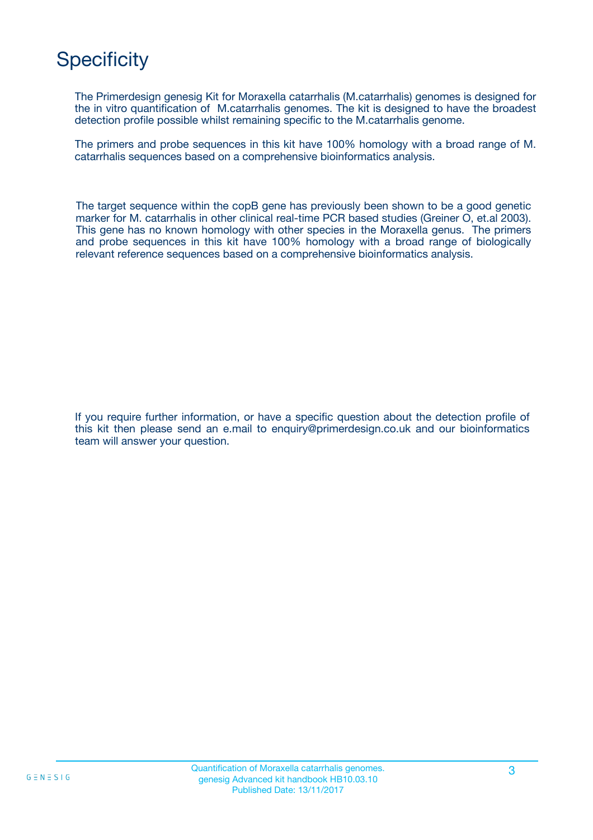## **Specificity**

The Primerdesign genesig Kit for Moraxella catarrhalis (M.catarrhalis) genomes is designed for the in vitro quantification of M.catarrhalis genomes. The kit is designed to have the broadest detection profile possible whilst remaining specific to the M.catarrhalis genome.

The primers and probe sequences in this kit have 100% homology with a broad range of M. catarrhalis sequences based on a comprehensive bioinformatics analysis.

The target sequence within the copB gene has previously been shown to be a good genetic marker for M. catarrhalis in other clinical real-time PCR based studies (Greiner O, et.al 2003). This gene has no known homology with other species in the Moraxella genus. The primers and probe sequences in this kit have 100% homology with a broad range of biologically relevant reference sequences based on a comprehensive bioinformatics analysis.

If you require further information, or have a specific question about the detection profile of this kit then please send an e.mail to enquiry@primerdesign.co.uk and our bioinformatics team will answer your question.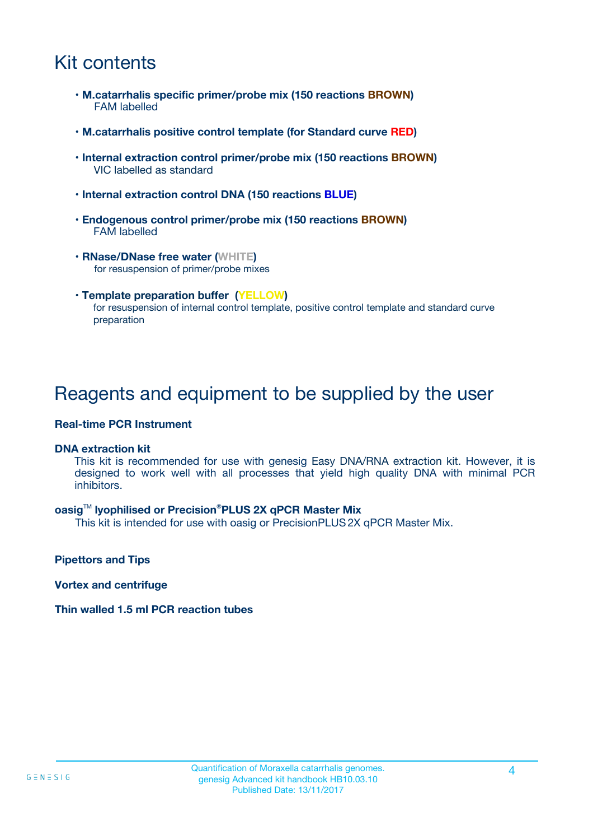## Kit contents

- **M.catarrhalis specific primer/probe mix (150 reactions BROWN)** FAM labelled
- **M.catarrhalis positive control template (for Standard curve RED)**
- **Internal extraction control primer/probe mix (150 reactions BROWN)** VIC labelled as standard
- **Internal extraction control DNA (150 reactions BLUE)**
- **Endogenous control primer/probe mix (150 reactions BROWN)** FAM labelled
- **RNase/DNase free water (WHITE)** for resuspension of primer/probe mixes
- **Template preparation buffer (YELLOW)** for resuspension of internal control template, positive control template and standard curve preparation

### Reagents and equipment to be supplied by the user

#### **Real-time PCR Instrument**

#### **DNA extraction kit**

This kit is recommended for use with genesig Easy DNA/RNA extraction kit. However, it is designed to work well with all processes that yield high quality DNA with minimal PCR inhibitors.

#### **oasig**TM **lyophilised or Precision**®**PLUS 2X qPCR Master Mix**

This kit is intended for use with oasig or PrecisionPLUS2X qPCR Master Mix.

**Pipettors and Tips**

**Vortex and centrifuge**

#### **Thin walled 1.5 ml PCR reaction tubes**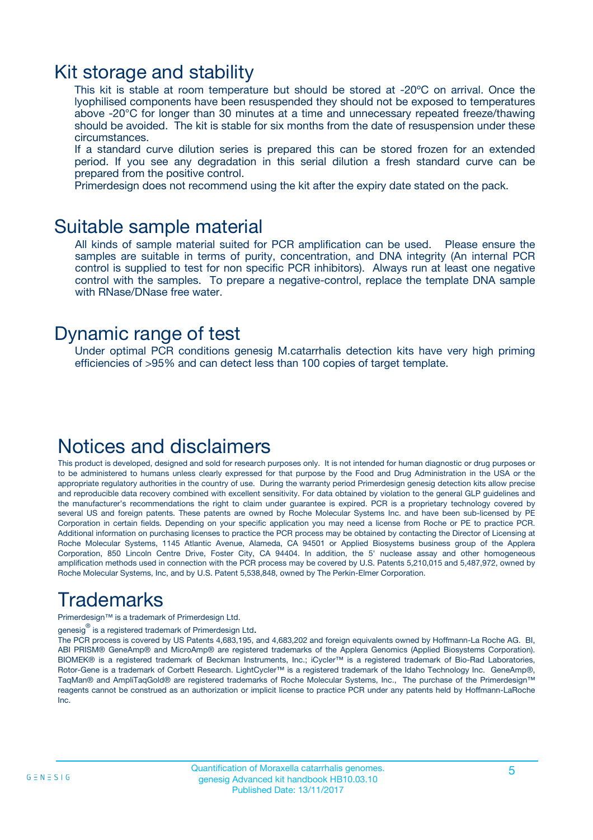### Kit storage and stability

This kit is stable at room temperature but should be stored at -20ºC on arrival. Once the lyophilised components have been resuspended they should not be exposed to temperatures above -20°C for longer than 30 minutes at a time and unnecessary repeated freeze/thawing should be avoided. The kit is stable for six months from the date of resuspension under these circumstances.

If a standard curve dilution series is prepared this can be stored frozen for an extended period. If you see any degradation in this serial dilution a fresh standard curve can be prepared from the positive control.

Primerdesign does not recommend using the kit after the expiry date stated on the pack.

### Suitable sample material

All kinds of sample material suited for PCR amplification can be used. Please ensure the samples are suitable in terms of purity, concentration, and DNA integrity (An internal PCR control is supplied to test for non specific PCR inhibitors). Always run at least one negative control with the samples. To prepare a negative-control, replace the template DNA sample with RNase/DNase free water.

### Dynamic range of test

Under optimal PCR conditions genesig M.catarrhalis detection kits have very high priming efficiencies of >95% and can detect less than 100 copies of target template.

### Notices and disclaimers

This product is developed, designed and sold for research purposes only. It is not intended for human diagnostic or drug purposes or to be administered to humans unless clearly expressed for that purpose by the Food and Drug Administration in the USA or the appropriate regulatory authorities in the country of use. During the warranty period Primerdesign genesig detection kits allow precise and reproducible data recovery combined with excellent sensitivity. For data obtained by violation to the general GLP guidelines and the manufacturer's recommendations the right to claim under guarantee is expired. PCR is a proprietary technology covered by several US and foreign patents. These patents are owned by Roche Molecular Systems Inc. and have been sub-licensed by PE Corporation in certain fields. Depending on your specific application you may need a license from Roche or PE to practice PCR. Additional information on purchasing licenses to practice the PCR process may be obtained by contacting the Director of Licensing at Roche Molecular Systems, 1145 Atlantic Avenue, Alameda, CA 94501 or Applied Biosystems business group of the Applera Corporation, 850 Lincoln Centre Drive, Foster City, CA 94404. In addition, the 5' nuclease assay and other homogeneous amplification methods used in connection with the PCR process may be covered by U.S. Patents 5,210,015 and 5,487,972, owned by Roche Molecular Systems, Inc, and by U.S. Patent 5,538,848, owned by The Perkin-Elmer Corporation.

## Trademarks

Primerdesign™ is a trademark of Primerdesign Ltd.

genesig $^\circledR$  is a registered trademark of Primerdesign Ltd.

The PCR process is covered by US Patents 4,683,195, and 4,683,202 and foreign equivalents owned by Hoffmann-La Roche AG. BI, ABI PRISM® GeneAmp® and MicroAmp® are registered trademarks of the Applera Genomics (Applied Biosystems Corporation). BIOMEK® is a registered trademark of Beckman Instruments, Inc.; iCycler™ is a registered trademark of Bio-Rad Laboratories, Rotor-Gene is a trademark of Corbett Research. LightCycler™ is a registered trademark of the Idaho Technology Inc. GeneAmp®, TaqMan® and AmpliTaqGold® are registered trademarks of Roche Molecular Systems, Inc., The purchase of the Primerdesign™ reagents cannot be construed as an authorization or implicit license to practice PCR under any patents held by Hoffmann-LaRoche Inc.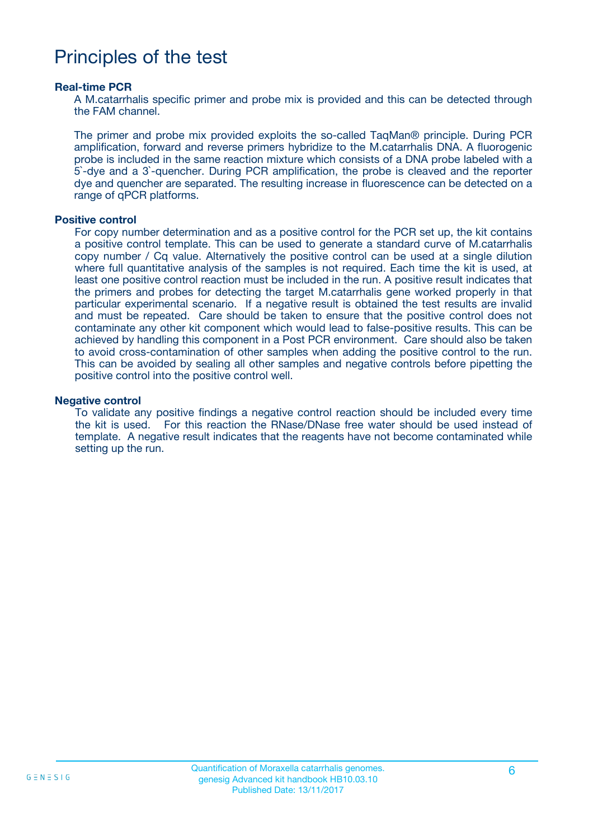### Principles of the test

#### **Real-time PCR**

A M.catarrhalis specific primer and probe mix is provided and this can be detected through the FAM channel.

The primer and probe mix provided exploits the so-called TaqMan® principle. During PCR amplification, forward and reverse primers hybridize to the M.catarrhalis DNA. A fluorogenic probe is included in the same reaction mixture which consists of a DNA probe labeled with a 5`-dye and a 3`-quencher. During PCR amplification, the probe is cleaved and the reporter dye and quencher are separated. The resulting increase in fluorescence can be detected on a range of qPCR platforms.

#### **Positive control**

For copy number determination and as a positive control for the PCR set up, the kit contains a positive control template. This can be used to generate a standard curve of M.catarrhalis copy number / Cq value. Alternatively the positive control can be used at a single dilution where full quantitative analysis of the samples is not required. Each time the kit is used, at least one positive control reaction must be included in the run. A positive result indicates that the primers and probes for detecting the target M.catarrhalis gene worked properly in that particular experimental scenario. If a negative result is obtained the test results are invalid and must be repeated. Care should be taken to ensure that the positive control does not contaminate any other kit component which would lead to false-positive results. This can be achieved by handling this component in a Post PCR environment. Care should also be taken to avoid cross-contamination of other samples when adding the positive control to the run. This can be avoided by sealing all other samples and negative controls before pipetting the positive control into the positive control well.

#### **Negative control**

To validate any positive findings a negative control reaction should be included every time the kit is used. For this reaction the RNase/DNase free water should be used instead of template. A negative result indicates that the reagents have not become contaminated while setting up the run.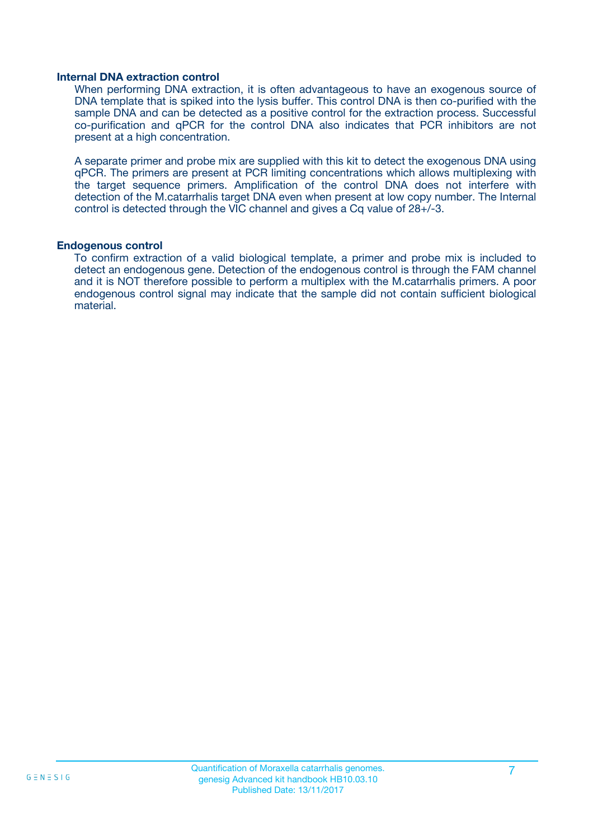#### **Internal DNA extraction control**

When performing DNA extraction, it is often advantageous to have an exogenous source of DNA template that is spiked into the lysis buffer. This control DNA is then co-purified with the sample DNA and can be detected as a positive control for the extraction process. Successful co-purification and qPCR for the control DNA also indicates that PCR inhibitors are not present at a high concentration.

A separate primer and probe mix are supplied with this kit to detect the exogenous DNA using qPCR. The primers are present at PCR limiting concentrations which allows multiplexing with the target sequence primers. Amplification of the control DNA does not interfere with detection of the M.catarrhalis target DNA even when present at low copy number. The Internal control is detected through the VIC channel and gives a Cq value of 28+/-3.

#### **Endogenous control**

To confirm extraction of a valid biological template, a primer and probe mix is included to detect an endogenous gene. Detection of the endogenous control is through the FAM channel and it is NOT therefore possible to perform a multiplex with the M.catarrhalis primers. A poor endogenous control signal may indicate that the sample did not contain sufficient biological material.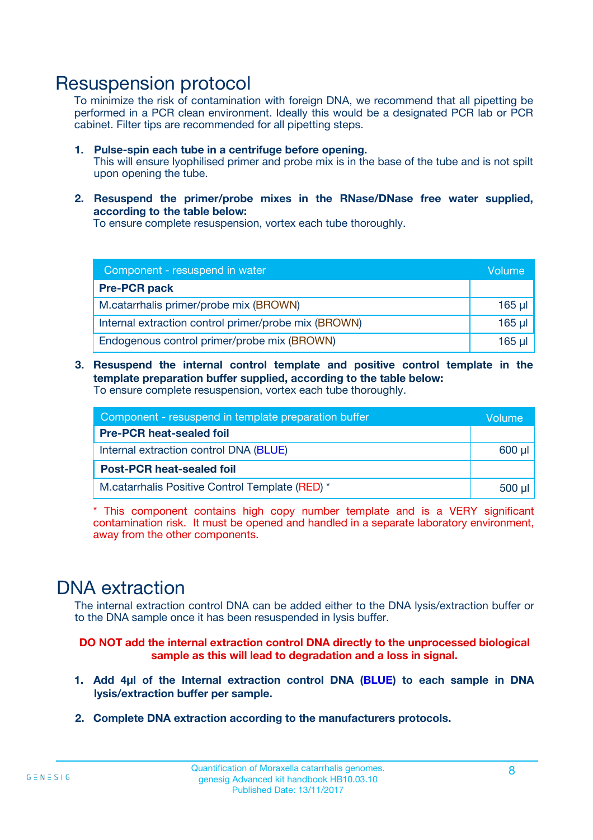### Resuspension protocol

To minimize the risk of contamination with foreign DNA, we recommend that all pipetting be performed in a PCR clean environment. Ideally this would be a designated PCR lab or PCR cabinet. Filter tips are recommended for all pipetting steps.

- **1. Pulse-spin each tube in a centrifuge before opening.** This will ensure lyophilised primer and probe mix is in the base of the tube and is not spilt upon opening the tube.
- **2. Resuspend the primer/probe mixes in the RNase/DNase free water supplied, according to the table below:**

To ensure complete resuspension, vortex each tube thoroughly.

| Component - resuspend in water                       |          |  |
|------------------------------------------------------|----------|--|
| <b>Pre-PCR pack</b>                                  |          |  |
| M.catarrhalis primer/probe mix (BROWN)               | $165$ µl |  |
| Internal extraction control primer/probe mix (BROWN) | $165$ µ  |  |
| Endogenous control primer/probe mix (BROWN)          | 165 µl   |  |

**3. Resuspend the internal control template and positive control template in the template preparation buffer supplied, according to the table below:** To ensure complete resuspension, vortex each tube thoroughly.

| Component - resuspend in template preparation buffer |  |  |  |
|------------------------------------------------------|--|--|--|
| <b>Pre-PCR heat-sealed foil</b>                      |  |  |  |
| Internal extraction control DNA (BLUE)               |  |  |  |
| <b>Post-PCR heat-sealed foil</b>                     |  |  |  |
| M.catarrhalis Positive Control Template (RED) *      |  |  |  |

\* This component contains high copy number template and is a VERY significant contamination risk. It must be opened and handled in a separate laboratory environment, away from the other components.

### DNA extraction

The internal extraction control DNA can be added either to the DNA lysis/extraction buffer or to the DNA sample once it has been resuspended in lysis buffer.

**DO NOT add the internal extraction control DNA directly to the unprocessed biological sample as this will lead to degradation and a loss in signal.**

- **1. Add 4µl of the Internal extraction control DNA (BLUE) to each sample in DNA lysis/extraction buffer per sample.**
- **2. Complete DNA extraction according to the manufacturers protocols.**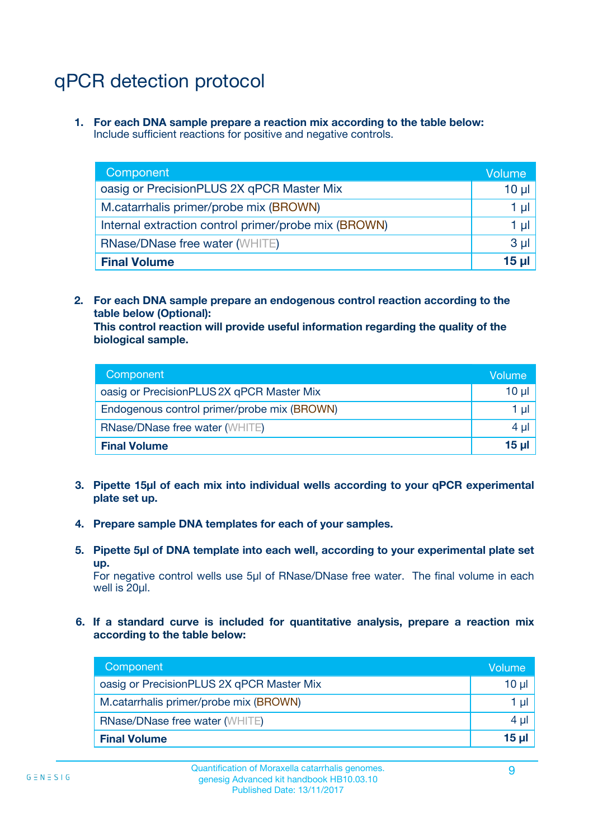## qPCR detection protocol

**1. For each DNA sample prepare a reaction mix according to the table below:** Include sufficient reactions for positive and negative controls.

| Component                                            | Volume   |
|------------------------------------------------------|----------|
| oasig or PrecisionPLUS 2X qPCR Master Mix            | $10 \mu$ |
| M.catarrhalis primer/probe mix (BROWN)               | 1 µI     |
| Internal extraction control primer/probe mix (BROWN) | 1 µl     |
| <b>RNase/DNase free water (WHITE)</b>                | $3 \mu$  |
| <b>Final Volume</b>                                  | 15 µl    |

**2. For each DNA sample prepare an endogenous control reaction according to the table below (Optional):**

**This control reaction will provide useful information regarding the quality of the biological sample.**

| Component                                   | Volume   |
|---------------------------------------------|----------|
| oasig or PrecisionPLUS 2X qPCR Master Mix   | $10 \mu$ |
| Endogenous control primer/probe mix (BROWN) | 1 µI     |
| <b>RNase/DNase free water (WHITE)</b>       | $4 \mu$  |
| <b>Final Volume</b>                         | 15 µl    |

- **3. Pipette 15µl of each mix into individual wells according to your qPCR experimental plate set up.**
- **4. Prepare sample DNA templates for each of your samples.**
- **5. Pipette 5µl of DNA template into each well, according to your experimental plate set up.**

For negative control wells use 5µl of RNase/DNase free water. The final volume in each well is 20ul.

**6. If a standard curve is included for quantitative analysis, prepare a reaction mix according to the table below:**

| Component                                 | Volume   |
|-------------------------------------------|----------|
| oasig or PrecisionPLUS 2X qPCR Master Mix | 10 ul    |
| M.catarrhalis primer/probe mix (BROWN)    | 1 µI     |
| <b>RNase/DNase free water (WHITE)</b>     | 4 µl     |
| <b>Final Volume</b>                       | $15 \mu$ |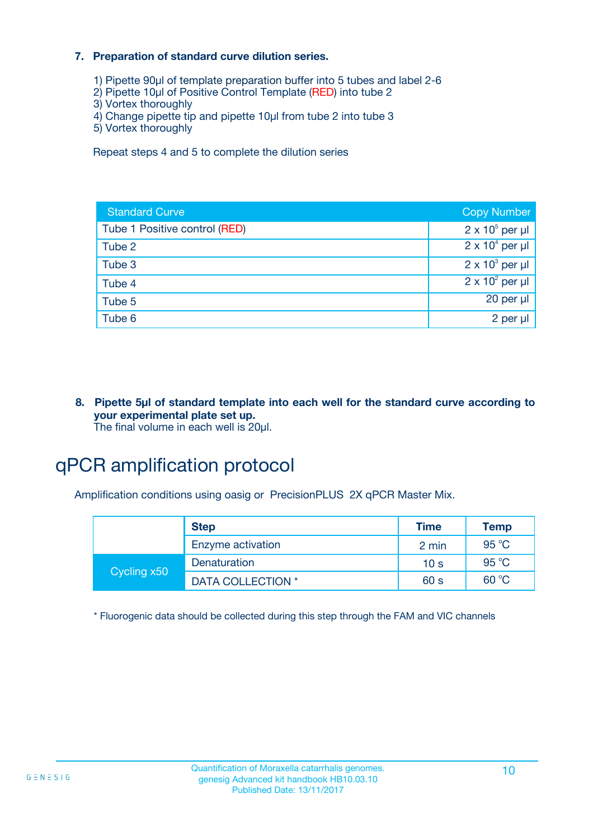#### **7. Preparation of standard curve dilution series.**

- 1) Pipette 90µl of template preparation buffer into 5 tubes and label 2-6
- 2) Pipette 10µl of Positive Control Template (RED) into tube 2
- 3) Vortex thoroughly
- 4) Change pipette tip and pipette 10µl from tube 2 into tube 3
- 5) Vortex thoroughly

Repeat steps 4 and 5 to complete the dilution series

| <b>Standard Curve</b>         | <b>Copy Number</b>     |
|-------------------------------|------------------------|
| Tube 1 Positive control (RED) | $2 \times 10^5$ per µl |
| Tube 2                        | $2 \times 10^4$ per µl |
| Tube 3                        | $2 \times 10^3$ per µl |
| Tube 4                        | $2 \times 10^2$ per µl |
| Tube 5                        | $20$ per $\mu$         |
| Tube 6                        | 2 per µl               |

**8. Pipette 5µl of standard template into each well for the standard curve according to your experimental plate set up.** The final volume in each well is 20µl.

## qPCR amplification protocol

Amplification conditions using oasig or PrecisionPLUS 2X qPCR Master Mix.

|             | <b>Step</b>       | <b>Time</b>     | <b>Temp</b> |
|-------------|-------------------|-----------------|-------------|
|             | Enzyme activation | 2 min           | 95 °C       |
| Cycling x50 | Denaturation      | 10 <sub>s</sub> | 95 °C       |
|             | DATA COLLECTION * | 60 s            | 60 °C       |

\* Fluorogenic data should be collected during this step through the FAM and VIC channels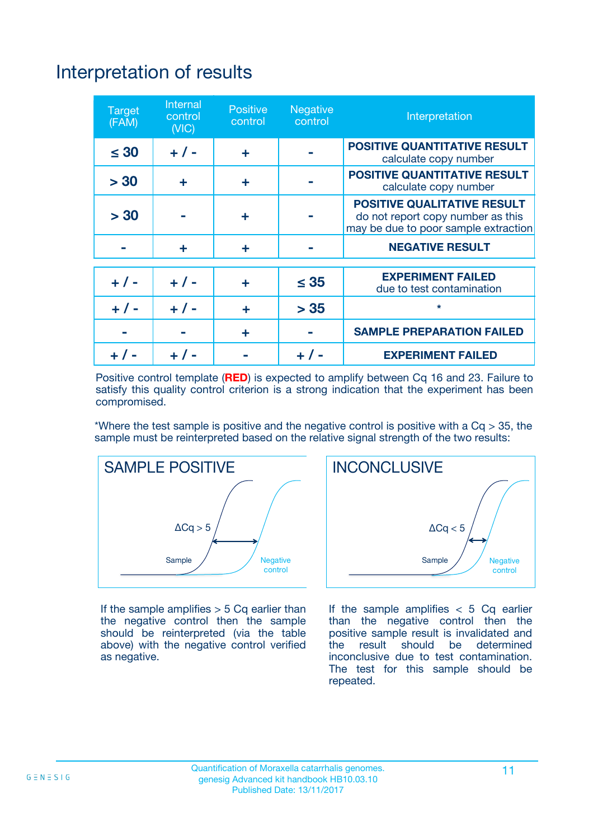## Interpretation of results

| <b>Target</b><br>(FAM) | <b>Internal</b><br>control<br>(NIC) | <b>Positive</b><br>control | <b>Negative</b><br>control | Interpretation                                                                                                  |
|------------------------|-------------------------------------|----------------------------|----------------------------|-----------------------------------------------------------------------------------------------------------------|
| $\leq 30$              | $+ 1 -$                             | ÷                          |                            | <b>POSITIVE QUANTITATIVE RESULT</b><br>calculate copy number                                                    |
| > 30                   | ٠                                   | ÷                          |                            | <b>POSITIVE QUANTITATIVE RESULT</b><br>calculate copy number                                                    |
| > 30                   |                                     | ÷                          |                            | <b>POSITIVE QUALITATIVE RESULT</b><br>do not report copy number as this<br>may be due to poor sample extraction |
|                        | ÷                                   | ÷                          |                            | <b>NEGATIVE RESULT</b>                                                                                          |
| $+ 1 -$                | $+ 1 -$                             | ÷                          | $\leq$ 35                  | <b>EXPERIMENT FAILED</b><br>due to test contamination                                                           |
| $+$ / -                | $+ 1 -$                             | ÷                          | > 35                       | $\star$                                                                                                         |
|                        |                                     | ÷                          |                            | <b>SAMPLE PREPARATION FAILED</b>                                                                                |
|                        |                                     |                            | $+$ /                      | <b>EXPERIMENT FAILED</b>                                                                                        |

Positive control template (**RED**) is expected to amplify between Cq 16 and 23. Failure to satisfy this quality control criterion is a strong indication that the experiment has been compromised.

\*Where the test sample is positive and the negative control is positive with a  $Ca > 35$ , the sample must be reinterpreted based on the relative signal strength of the two results:



If the sample amplifies  $> 5$  Cq earlier than the negative control then the sample should be reinterpreted (via the table above) with the negative control verified as negative.



If the sample amplifies  $< 5$  Cq earlier than the negative control then the positive sample result is invalidated and<br>the result should be determined  $the$  result should be inconclusive due to test contamination. The test for this sample should be repeated.